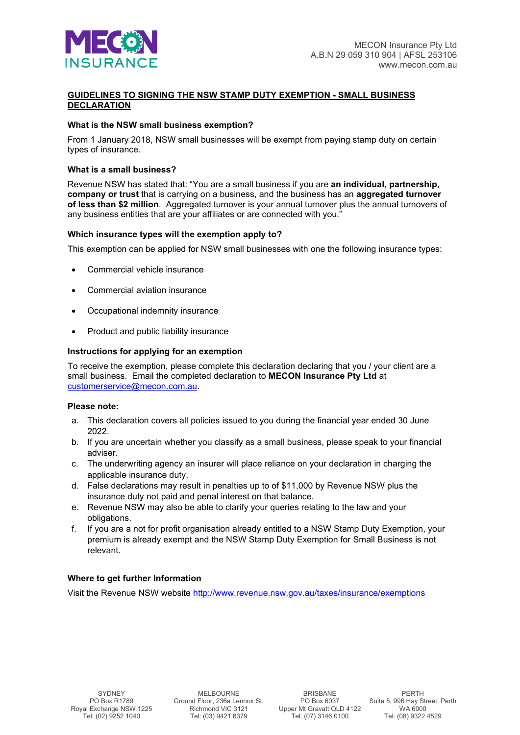

# **GUIDELINES TO SIGNING THE NSW STAMP DUTY EXEMPTION - SMALL BUSINESS DECLARATION**

## **What is the NSW small business exemption?**

From 1 January 2018, NSW small businesses will be exempt from paying stamp duty on certain types of insurance.

### **What is a small business?**

Revenue NSW has stated that: "You are a small business if you are **an individual, partnership, company or trust** that is carrying on a business, and the business has an **aggregated turnover of less than \$2 million**. Aggregated turnover is your annual turnover plus the annual turnovers of any business entities that are your affiliates or are connected with you."

### **Which insurance types will the exemption apply to?**

This exemption can be applied for NSW small businesses with one the following insurance types:

- Commercial vehicle insurance
- Commercial aviation insurance
- Occupational indemnity insurance
- Product and public liability insurance

#### **Instructions for applying for an exemption**

To receive the exemption, please complete this declaration declaring that you / your client are a small business. Email the completed declaration to **MECON Insurance Pty Ltd** at [customerservice@mecon.com.au.](mailto:customerservice@mecon.com.au)

#### **Please note:**

- a. This declaration covers all policies issued to you during the financial year ended 30 June 2022.
- b. If you are uncertain whether you classify as a small business, please speak to your financial adviser.
- c. The underwriting agency an insurer will place reliance on your declaration in charging the applicable insurance duty.
- d. False declarations may result in penalties up to of \$11,000 by Revenue NSW plus the insurance duty not paid and penal interest on that balance.
- e. Revenue NSW may also be able to clarify your queries relating to the law and your obligations.
- f. If you are a not for profit organisation already entitled to a NSW Stamp Duty Exemption, your premium is already exempt and the NSW Stamp Duty Exemption for Small Business is not relevant.

## **Where to get further Information**

Visit the Revenue NSW website<http://www.revenue.nsw.gov.au/taxes/insurance/exemptions>